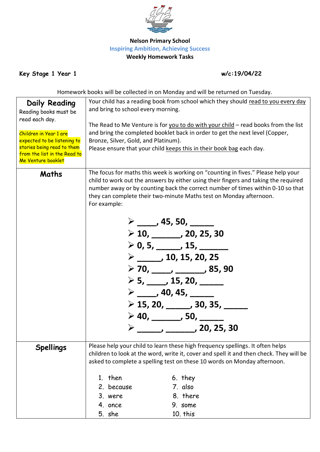

## **Nelson Primary School Inspiring Ambition, Achieving Success Weekly Homework Tasks**

**Key Stage 1 Year 1 w/c:19/04/22**

Homework books will be collected in on Monday and will be returned on Tuesday.

| Daily Reading<br>Reading books must be<br>read each day.  | Your child has a reading book from school which they should read to you every day<br>and bring to school every morning.                                                |                                                                                    |  |  |  |
|-----------------------------------------------------------|------------------------------------------------------------------------------------------------------------------------------------------------------------------------|------------------------------------------------------------------------------------|--|--|--|
|                                                           |                                                                                                                                                                        | The Read to Me Venture is for you to do with your child - read books from the list |  |  |  |
| Children in Year 1 are                                    | and bring the completed booklet back in order to get the next level (Copper,                                                                                           |                                                                                    |  |  |  |
| expected to be listening to<br>stories being read to them | Bronze, Silver, Gold, and Platinum).                                                                                                                                   |                                                                                    |  |  |  |
| from the list in the Read to                              | Please ensure that your child keeps this in their book bag each day.                                                                                                   |                                                                                    |  |  |  |
| Me Venture booklet                                        |                                                                                                                                                                        |                                                                                    |  |  |  |
| Maths                                                     |                                                                                                                                                                        | The focus for maths this week is working on "counting in fives." Please help your  |  |  |  |
|                                                           | child to work out the answers by either using their fingers and taking the required<br>number away or by counting back the correct number of times within 0-10 so that |                                                                                    |  |  |  |
|                                                           |                                                                                                                                                                        |                                                                                    |  |  |  |
|                                                           | they can complete their two-minute Maths test on Monday afternoon.<br>For example:                                                                                     |                                                                                    |  |  |  |
|                                                           |                                                                                                                                                                        |                                                                                    |  |  |  |
|                                                           | $\triangleright$ _____, 45, 50, ______                                                                                                                                 |                                                                                    |  |  |  |
|                                                           | $\geq 10, \_\_\_\_$ , 20, 25, 30                                                                                                                                       |                                                                                    |  |  |  |
|                                                           | $\geq 0, 5, \_\_\_\_$ , 15, $\_\_\_\_\_\_$                                                                                                                             |                                                                                    |  |  |  |
|                                                           | $\triangleright$ _____, 10, 15, 20, 25                                                                                                                                 |                                                                                    |  |  |  |
|                                                           |                                                                                                                                                                        |                                                                                    |  |  |  |
|                                                           | $\triangleright$ 5, _____, 15, 20, ______<br>$\triangleright$ _____, 40, 45, ______<br>$\triangleright$ 15, 20, ______, 30, 35, _____                                  |                                                                                    |  |  |  |
|                                                           |                                                                                                                                                                        |                                                                                    |  |  |  |
|                                                           |                                                                                                                                                                        |                                                                                    |  |  |  |
|                                                           |                                                                                                                                                                        | $>$ 40, _______, 50, _____                                                         |  |  |  |
|                                                           |                                                                                                                                                                        |                                                                                    |  |  |  |
|                                                           |                                                                                                                                                                        |                                                                                    |  |  |  |
| <b>Spellings</b>                                          |                                                                                                                                                                        | Please help your child to learn these high frequency spellings. It often helps     |  |  |  |
|                                                           | children to look at the word, write it, cover and spell it and then check. They will be                                                                                |                                                                                    |  |  |  |
|                                                           |                                                                                                                                                                        | asked to complete a spelling test on these 10 words on Monday afternoon.           |  |  |  |
|                                                           | 1. then                                                                                                                                                                | 6. they                                                                            |  |  |  |
|                                                           | 2. because                                                                                                                                                             | 7. also                                                                            |  |  |  |
|                                                           | 3. were                                                                                                                                                                | 8. there                                                                           |  |  |  |
|                                                           | 4. once                                                                                                                                                                | 9. some                                                                            |  |  |  |
|                                                           | 5. she                                                                                                                                                                 | 10. this                                                                           |  |  |  |